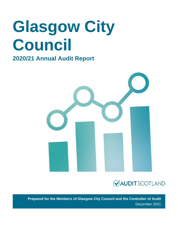# **Glasgow City Council**

# **2020/21 Annual Audit Report**





**Prepared for the Members of Glasgow City Council and the Controller of Audit** December 2021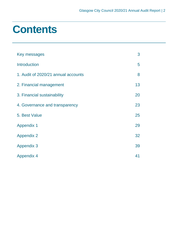# **Contents**

| Key messages                        | 3  |
|-------------------------------------|----|
| <b>Introduction</b>                 | 5  |
| 1. Audit of 2020/21 annual accounts | 8  |
| 2. Financial management             | 13 |
| 3. Financial sustainability         | 20 |
| 4. Governance and transparency      | 23 |
| 5. Best Value                       | 25 |
| <b>Appendix 1</b>                   | 29 |
| <b>Appendix 2</b>                   | 32 |
| <b>Appendix 3</b>                   | 39 |
| <b>Appendix 4</b>                   | 41 |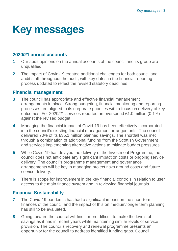# <span id="page-2-0"></span>**Key messages**

# **2020/21 annual accounts**

- **1** Our audit opinions on the annual accounts of the council and its group are unqualified.
- **2** The impact of Covid-19 created additional challenges for both council and audit staff throughout the audit, with key dates in the financial reporting process updated to reflect the revised statutory deadlines.

# **Financial management**

- **3** The council has appropriate and effective financial management arrangements in place. Strong budgeting, financial monitoring and reporting processes are aligned to its corporate priorities with a focus on delivery of key outcomes. For 2020/21 services reported an overspend £1.0 million (0.1%) against the revised budget.
- **4** Managing the financial impact of Covid-19 has been effectively incorporated into the council's existing financial management arrangements. The council delivered 70% of its £35.1 million planned savings. The shortfall was met through a combination of additional funding from the Scottish Government and services implementing alternative actions to mitigate budget pressures.
- **5** While Covid-19 has delayed the delivery of the Investment Programme, the council does not anticipate any significant impact on costs or ongoing service delivery. The council's programme management and governance arrangements will be key in managing project risks around costs and future service delivery.
- **6** There is scope for improvement in the key financial controls in relation to user access to the main finance system and in reviewing financial journals.

# **Financial Sustainability**

- **7** The Covid-19 pandemic has had a significant impact on the short-term finances of the council and the impact of this on medium/longer term planning has still to be evaluated.
- **8** Going forward the council will find it more difficult to make the levels of savings as it has in recent years while maintaining similar levels of service provision. The council's recovery and renewal programme presents an opportunity for the council to address identified funding gaps. Council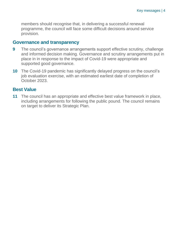members should recognise that, in delivering a successful renewal programme, the council will face some difficult decisions around service provision.

# **Governance and transparency**

- **9** The council's governance arrangements support effective scrutiny, challenge and informed decision making. Governance and scrutiny arrangements put in place in in response to the impact of Covid-19 were appropriate and supported good governance.
- **10** The Covid-19 pandemic has significantly delayed progress on the council's job evaluation exercise, with an estimated earliest date of completion of October 2023.

# **Best Value**

**11** The council has an appropriate and effective best value framework in place, including arrangements for following the public pound. The council remains on target to deliver its Strategic Plan.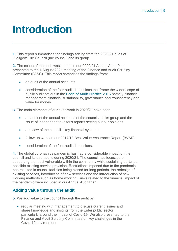# <span id="page-4-0"></span>**Introduction**

**1.** This report summarises the findings arising from the 2020/21 audit of Glasgow City Council (the council) and its group.

**2.** The scope of the audit was set out in our 2020/21 Annual Audit Plan presented to the 4 August 2021 meeting of the Finance and Audit Scrutiny Committee (FASC). This report comprises the findings from:

- an audit of the annual accounts
- consideration of the four audit dimensions that frame the wider scope of public audit set out in the [Code of Audit Practice 2016](http://www.audit-scotland.gov.uk/report/code-of-audit-practice-2016) namely, financial management, financial sustainability, governance and transparency and value for money.
- **3.** The main elements of our audit work in 2020/21 have been:
	- an audit of the annual accounts of the council and its group and the issue of independent auditor's reports setting out our opinions
	- a review of the council's key financial systems
	- follow-up work on our 2017/18 Best Value Assurance Report (BVAR)
	- consideration of the four audit dimensions.

**4.** The global coronavirus pandemic has had a considerable impact on the council and its operations during 2020/21. The council has focussed on supporting the most vulnerable within the community while sustaining as far as possible existing service provision. Restrictions imposed due to the pandemic has resulted in council facilities being closed for long periods, the redesign of existing services, introduction of new services and the introduction of new working methods such as home working. Risks related to the financial impact of the pandemic were included in our Annual Audit Plan.

# **Adding value through the audit**

**5.** We add value to the council through the audit by:

• regular meeting with management to discuss current issues and share knowledge and insights from the wider public sector, particularly around the impact of Covid-19. We also presented to the Finance and Audit Scrutiny Committee on key challenges in the Covid-19 environment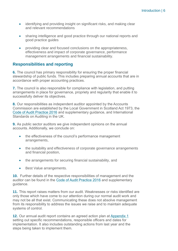- identifying and providing insight on significant risks, and making clear and relevant recommendations
- sharing intelligence and good practice through our national reports and good practice guides
- providing clear and focused conclusions on the appropriateness, effectiveness and impact of corporate governance, performance management arrangements and financial sustainability.

# **Responsibilities and reporting**

**6.** The council has primary responsibility for ensuring the proper financial stewardship of public funds. This includes preparing annual accounts that are in accordance with proper accounting practices.

**7.** The council is also responsible for compliance with legislation, and putting arrangements in place for governance, propriety and regularity that enable it to successfully deliver its objectives.

**8.** Our responsibilities as independent auditor appointed by the Accounts Commission are established by the Local Government in Scotland Act 1973, the [Code of Audit Practice 2016](http://www.audit-scotland.gov.uk/report/code-of-audit-practice-2016) and supplementary guidance, and International Standards on Auditing in the UK.

**9.** As public sector auditors we give independent opinions on the annual accounts. Additionally, we conclude on:

- the effectiveness of the council's performance management arrangements,
- the suitability and effectiveness of corporate governance arrangements and financial position,
- the arrangements for securing financial sustainability, and
- Best Value arrangements.

**10.** Further details of the respective responsibilities of management and the auditor can be found in the [Code of Audit Practice 2016](http://www.audit-scotland.gov.uk/report/code-of-audit-practice-2016) and supplementary guidance.

**11.** This report raises matters from our audit. Weaknesses or risks identified are only those which have come to our attention during our normal audit work and may not be all that exist. Communicating these does not absolve management from its responsibility to address the issues we raise and to maintain adequate systems of control.

**12.** Our annual audit report contains an agreed action plan at [Appendix 1](#page-28-0) setting out specific recommendations, responsible officers and dates for implementation. It also includes outstanding actions from last year and the steps being taken to implement them.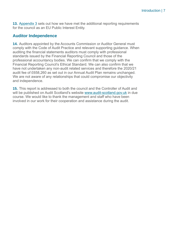**13.** [Appendix 3](#page-38-0) sets out how we have met the additional reporting requirements for the council as an EU Public Interest Entity.

# **Auditor Independence**

**14.** Auditors appointed by the Accounts Commission or Auditor General must comply with the Code of Audit Practice and relevant supporting guidance. When auditing the financial statements auditors must comply with professional standards issued by the Financial Reporting Council and those of the professional accountancy bodies. We can confirm that we comply with the Financial Reporting Council's Ethical Standard. We can also confirm that we have not undertaken any non-audit related services and therefore the 2020/21 audit fee of £658,260 as set out in our Annual Audit Plan remains unchanged. We are not aware of any relationships that could compromise our objectivity and independence.

**15.** This report is addressed to both the council and the Controller of Audit and will be published on Audit Scotland's website [www.audit-scotland.gov.uk](http://www.audit-scotland.gov.uk/) in due course. We would like to thank the management and staff who have been involved in our work for their cooperation and assistance during the audit.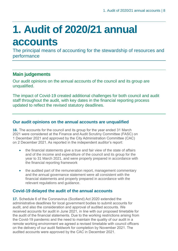# <span id="page-7-0"></span>**1. Audit of 2020/21 annual accounts**

The principal means of accounting for the stewardship of resources and performance

# **Main judgements**

Our audit opinions on the annual accounts of the council and its group are unqualified.

The impact of Covid-19 created additional challenges for both council and audit staff throughout the audit, with key dates in the financial reporting process updated to reflect the revised statutory deadlines.

# **Our audit opinions on the annual accounts are unqualified**

**16.** The accounts for the council and its group for the year ended 31 March 2021 were considered at the Finance and Audit Scrutiny Committee (FASC) on 1 December 2021 and approved by the City Administration Committee (CAC) on 2 December 2021. As reported in the independent auditor's report:

- the financial statements give a true and fair view of the state of affairs and of the income and expenditure of the council and its group for the year to 31 March 2021, and were properly prepared in accordance with the financial reporting framework
- the audited part of the remuneration report, management commentary and the annual governance statement were all consistent with the financial statements and properly prepared in accordance with the relevant regulations and guidance.

# **Covid-19 delayed the audit of the annual accounts**

**17.** Schedule 6 of the Coronavirus (Scotland) Act 2020 extended the administrative deadlines for local government bodies to submit accounts for audit, and also the consideration and approval of audited accounts. We received accounts for audit in June 2021, in line with our proposed timetable for the audit of the financial statements. Due to the working restrictions arising from the Covid-19 pandemic and the need to maintain the quality of our audit in a remote working environment we agreed a revised timetable with council officers on the delivery of our audit fieldwork for completion by November 2021. The audited accounts were approved by the CAC in December 2021.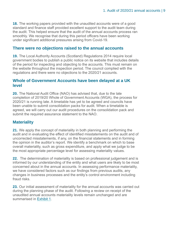**18.** The working papers provided with the unaudited accounts were of a good standard and finance staff provided excellent support to the audit team during the audit. This helped ensure that the audit of the annual accounts process ran smoothly. We recognise that during this period officers have been working under significant additional pressures arising from Covid-19.

### **There were no objections raised to the annual accounts**

**19.** The Local Authority Accounts (Scotland) Regulations 2014 require local government bodies to publish a public notice on its website that includes details of the period for inspecting and objecting to the accounts. This must remain on the website throughout the inspection period. The council complied with the regulations and there were no objections to the 2020/21 accounts.

#### **Whole of Government Accounts have been delayed at a UK level**

**20.** The National Audit Office (NAO) has advised that, due to the late completion of 2019/20 Whole of Government Accounts (WGA), the process for 2020/21 is running late. A timetable has yet to be agreed and councils have been unable to submit consolidation packs for audit. When a timetable is agreed, we will carry out our audit procedures on the consolidation pack and submit the required assurance statement to the NAO.

### **Materiality**

**21.** We apply the concept of materiality in both planning and performing the audit and in evaluating the effect of identified misstatements on the audit and of uncorrected misstatements, if any, on the financial statements and in forming the opinion in the auditor's report. We identify a benchmark on which to base overall materiality, such as gross expenditure, and apply what we judge to be the most appropriate percentage level for assessing materiality values.

**22.** The determination of materiality is based on professional judgement and is informed by our understanding of the entity and what users are likely to be most concerned about in the annual accounts. In assessing performance materiality, we have considered factors such as our findings from previous audits, any changes in business processes and the entity's control environment including fraud risks.

**23.** Our initial assessment of materiality for the annual accounts was carried out during the planning phase of the audit. Following a review on receipt of the unaudited annual accounts materiality levels remain unchanged and are summarised in [Exhibit 1.](#page-9-0)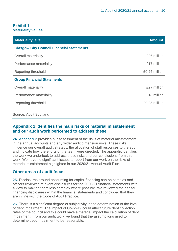#### <span id="page-9-0"></span>**Exhibit 1 Materiality values**

| <b>Materiality level</b>                         | <b>Amount</b> |
|--------------------------------------------------|---------------|
| <b>Glasgow City Council Financial Statements</b> |               |
| <b>Overall materiality</b>                       | £26 million   |
| Performance materiality                          | £17 million   |
| Reporting threshold                              | £0.25 million |
| <b>Group Financial Statements</b>                |               |
| <b>Overall materiality</b>                       | £27 million   |
| Performance materiality                          | £18 million   |
| Reporting threshold                              | £0.25 million |
|                                                  |               |

Source: Audit Scotland

# **Appendix 2 identifies the main risks of material misstatement and our audit work performed to address these**

**24.** Appendix 2 [provides our assessment of the risks of material misstatement](#page-31-0)  [in the annual accounts and any wider audit dimension risks. These risks](#page-31-0)  [influence our overall audit strategy, the allocation of staff resources to the audit](#page-31-0)  [and indicate how the efforts of the team were directed. The appendix identifies](#page-31-0)  [the work we undertook to address these risks and our conclusions from this](#page-31-0)  [work. W](#page-31-0)e have no significant issues to report from our work on the risks of material misstatement highlighted in our 2020/21 Annual Audit Plan.

# **Other areas of audit focus**

**25.** Disclosures around accounting for capital financing can be complex and officers reviewed relevant disclosures for the 2020/21 financial statements with a view to making them less complex where possible. We reviewed the capital financing disclosures within the financial statements and concluded that they are in line with the Code of Audit Practice.

**26.** There is a significant degree of subjectivity in the determination of the level of debt impairment. The impact of Covid-19 could affect future debt collection rates of the council and this could have a material impact the calculation of debt impairment. From our audit work we found that the assumptions used to determine debt impairment to be reasonable.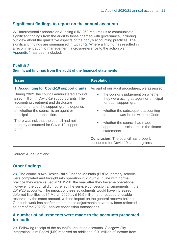### **Significant findings to report on the annual accounts**

**27.** International Standard on Auditing (UK) 260 requires us to communicate significant findings from the audit to those charged with governance, including our view about the qualitative aspects of the body's accounting practices. The significant findings are summarised in [Exhibit 2.](#page-10-0) Where a finding has resulted in a recommendation to management, a cross-reference to the action plan in [Appendix 1](#page-28-0) has been included.

### <span id="page-10-0"></span>**Exhibit 2**

#### **Significant findings from the audit of the financial statements**

| <b>Issue</b>                                                                                                                                                                                                                                                | <b>Resolution</b>                                                                                                                                                                                            |
|-------------------------------------------------------------------------------------------------------------------------------------------------------------------------------------------------------------------------------------------------------------|--------------------------------------------------------------------------------------------------------------------------------------------------------------------------------------------------------------|
| 1. Accounting for Covid-19 support grants                                                                                                                                                                                                                   | As part of our audit procedures, we assessed                                                                                                                                                                 |
| During 20/21 the council administered around<br>£230 million in Covid-19 support grants. The<br>accounting treatment and disclosure<br>requirements of the support grants depends<br>on whether the council is an agent or<br>principal in the transaction. | the council's judgement on whether<br>$\bullet$<br>they were acting as agent or principal<br>for each support grant<br>whether the subsequent accounting<br>$\bullet$<br>treatment was in line with the Code |
| There was risk that the council had not<br>properly accounted for Covid-19 support<br>grants.                                                                                                                                                               | whether the council had made<br>$\bullet$<br>appropriate disclosures in the financial<br>statements.                                                                                                         |
|                                                                                                                                                                                                                                                             | <b>Conclusion:</b> The council has properly<br>accounted for Covid-19 support grants.                                                                                                                        |

Source: Audit Scotland

# **Other findings**

**28.** The council's two Design Build Finance Maintain (DBFM) primary schools were completed and brought into operation in 2018/19. In line with normal practice they were valued in 2019/20, the year after they became operational. However, the council did not reflect the service concession arrangements in the 2019/20 accounts. The impact of these adjustments would have increased deferred liabilities at 31 March 2020 by £16.5 million and reduced unusable reserves by the same amount, with no impact on the general reserve balance. Our audit work has confirmed that these adjustments have now been reflected as part of the 2020/21 service concession transactions.

### **A number of adjustments were made to the accounts presented for audit**

<span id="page-10-1"></span>**29.** Following receipt of the council's unaudited accounts, Glasgow City Integration Joint Board (IJB) received an additional £20 million of income from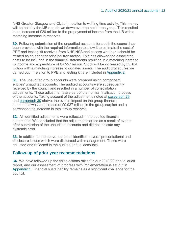NHS Greater Glasgow and Clyde in relation to waiting time activity. This money will be held by the IJB and drawn down over the next three years. This resulted in an increase of £20 million to the prepayment of income from the IJB with a matching increase in reserves.

<span id="page-11-0"></span>**30.** Following submission of the unaudited accounts for audit, the council has been provided with the required information to allow it to estimate the cost of PPE and testing kit received from NHS NSS and assess whether it should be treated as an agent or principal transaction. This has allowed the associated costs to be included in the financial statements resulting in a matching increase to income and expenditure of £4.557 million. Stock will be increased by £3.104 million with a matching increase to donated assets. The audit procedures we carried out in relation to PPE and testing kit are included i[n Appendix 2.](#page-31-0)

**31.** The unaudited group accounts were prepared using component entities' unaudited accounts. The audited accounts were subsequently received by the council and resulted in a number of consolidation adjustments. These adjustments are part of the normal finalisation process of the accounts. Taking account of the adjustments noted at [paragraph](#page-10-1) 29 and [paragraph](#page-11-0) 30 above, the overall impact on the group financial statements was an increase of £9.937 million in the group surplus and a corresponding increase in total group reserves.

**32.** All identified adjustments were reflected in the audited financial statements. We concluded that the adjustments arose as a result of events after submission of the unaudited accounts and did not indicate any systemic error.

**33.** In addition to the above, our audit identified several presentational and disclosure issues which were discussed with management. These were adjusted and reflected in the audited annual accounts.

#### **Follow-up of prior year recommendations**

**34.** We have followed up the three actions raised in our 2019/20 annual audit report, and our assessment of progress with implementation is set out in [Appendix 1.](#page-28-0) Financial sustainability remains as a significant challenge for the council.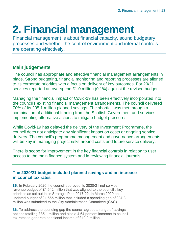# <span id="page-12-0"></span>**2. Financial management**

Financial management is about financial capacity, sound budgetary processes and whether the control environment and internal controls are operating effectively.

# **Main judgements**

The council has appropriate and effective financial management arrangements in place. Strong budgeting, financial monitoring and reporting processes are aligned to its corporate priorities with a focus on delivery of key outcomes. For 20/21 services reported an overspend £1.0 million (0.1%) against the revised budget.

Managing the financial impact of Covid-19 has been effectively incorporated into the council's existing financial management arrangements. The council delivered 70% of its £35.1 million planned savings. The shortfall was met through a combination of additional funding from the Scottish Government and services implementing alternative actions to mitigate budget pressures.

While Covid-19 has delayed the delivery of the Investment Programme, the council does not anticipate any significant impact on costs or ongoing service delivery. The council's programme management and governance arrangements will be key in managing project risks around costs and future service delivery.

There is scope for improvement in the key financial controls in relation to user access to the main finance system and in reviewing financial journals.

# **The 2020/21 budget included planned savings and an increase in council tax rates**

**35.** In February 2020 the council approved its 2020/21 net service revenue budget of £1,642 million that was aligned to the council's key priorities as set out in its Strategic Plan 2017-22. In March 2020 an updated budget of £1,665 million that included a spending gap of £37.3 million was submitted to the City Administration Committee (CAC).

**36.** To address the spending gap the council agreed a range of savings options totalling £35.1 million and also a 4.64 percent increase to council tax rates to generate additional income of £10.2 million.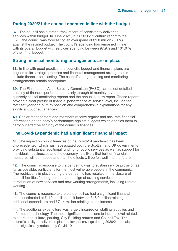# **During 2020/21 the council operated in line with the budget**

**37.** The council has a strong track record of consistently delivering services within budget. In June 2021, in its 2020/21 outturn report to the CAC, the council was forecasting an overspend of £1.0 million (0.1%) against the revised budget. The council's spending has remained in line with its overall budget with services spending between 97.9% and 101.0 % of their final budget.

### **Strong financial monitoring arrangements are in place**

**38.** In line with good practice, the council's budget and financial plans are aligned to its strategic priorities and financial management arrangements include financial forecasting. The council's budget setting and monitoring arrangements remain appropriate.

**39.** The Finance and Audit Scrutiny Committee (FASC) carries out detailed scrutiny of financial performance mainly through bi-monthly revenue reports, quarterly capital monitoring reports and the annual outturn report. These reports provide a clear picture of financial performance at service level, include the forecast year-end outturn position and comprehensive explanations for any significant budget variances.

**40.** Senior management and members receive regular and accurate financial information on the body's performance against budgets which enables them to carry out effective scrutiny of the council's finances.

# **The Covid-19 pandemic had a significant financial impact**

**41.** The impact on public finances of the Covid-19 pandemic has been unprecedented, which has necessitated both the Scottish and UK governments providing substantial additional funding for public services as well as support for individuals, businesses and the economy. It is likely that further financial measures will be needed and that the effects will be felt well into the future.

**42.** The council's response to the pandemic was to sustain service provision as far as possible, particularly for the most vulnerable people in the community. The restrictions in place during the pandemic has resulted in the closure of council facilities for long periods, a redesign of existing services and introduction of new services and new working arrangements, including remote working.

**43.** The council's response to the pandemic has had a significant financial impact estimated at £119.4 million, split between £48.0 million relating to additional expenditure and £71.4 million relating to lost income.

**44.** The additional expenditure was largely incurred on staffing, supplies and information technology. The most significant reductions to income level related to sports and culture, parking, City Building returns and Council Tax. The council's ability to deliver the planned level of savings during 2020/21 has also been significantly reduced by Covid-19.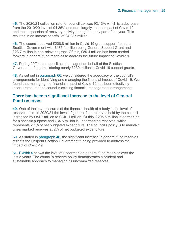**45.** The 2020/21 collection rate for council tax was 92.13% which is a decrease from the 2019/20 level of 94.36% and due, largely, to the impact of Covid-19 and the suspension of recovery activity during the early part of the year. This resulted in an income shortfall of £4.237 million.

<span id="page-14-0"></span>**46.** The council received £208.8 million in Covid-19 grant support from the Scottish Government with £185.1 million being General Support Grant and £23.7 million in non-relevant grant. Of this, £89.4 million has been carried forward in general fund reserves to address the future impact of Covid-19.

**47.** During 20/21 the council acted as agent on behalf of the Scottish Government for administering nearly £230 million in Covid-19 support grants.

**48.** As set out in [paragraph](#page-19-1) 66, we considered the adequacy of the council's arrangements for identifying and managing the financial impact of Covid-19. We found that managing the financial impact of Covid-19 has been effectively incorporated into the council's existing financial management arrangements.

### **There has been a significant increase in the level of General Fund reserves**

**49.** One of the key measures of the financial health of a body is the level of reserves held. In 2020/21 the level of general fund reserves held by the council increased by £84.7 million to £240.1 million. Of this, £205.6 million is earmarked for a specific purpose and £34.5 million is unearmarked reserves, which represents 2.1% of net budgeted expenditure. The council's policy is to maintain unearmarked reserves at 2% of net budgeted expenditure.

**50.** As stated in [paragraph](#page-14-0) 46, the significant increase in general fund reserves reflects the unspent Scottish Government funding provided to address the impact of Covid-19.

**51.** [Exhibit 4](#page-15-0) shows the level of unearmarked general fund reserves over the last 5 years. The council's reserve policy demonstrates a prudent and sustainable approach to managing its uncommitted reserves.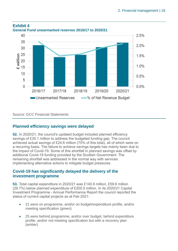

#### <span id="page-15-0"></span>**Exhibit 4 General Fund unearmarked reserves 2016/17 to 2020/21**

Source: GCC Financial Statements

# **Planned efficiency savings were delayed**

<span id="page-15-1"></span>**52.** In 2020/21, the council's updated budget included planned efficiency savings of £35.1 million to address the budgeted funding gap. The council achieved actual savings of £24.6 million (70% of this total), all of which were on a recurring basis. The failure to achieve savings targets has mainly been due to the impact of Covid-19. Some of this shortfall in planned savings was offset by additional Covid-19 funding provided by the Scottish Government. The remaining shortfall was addressed in the normal way with services implementing alternative actions to mitigate budget pressures.

### **Covid-19 has significantly delayed the delivery of the investment programme**

**53.** Total capital expenditure in 2020/21 was £140.9 million, £59.6 million (29.7%) below planned expenditure of £200.5 million. In its 2020/21 Capital Investment Programme - Annual Performance Report the council reported the status of current capital projects as at Feb 2021:

- 21 were on programme, and/or on budget/expenditure profile, and/or meeting specification (green)
- 25 were behind programme, and/or over budget, behind expenditure profile, and/or not meeting specification but with a recovery plan (amber)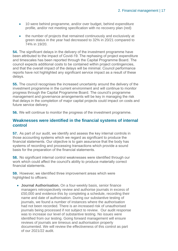- 10 were behind programme, and/or over budget, behind expenditure profile, and/or not meeting specification with no recovery plan (red)
- the number of projects that remained continuously and exclusively at green status in the year had decreased to 32% in 20/21 compared to 74% in 19/20.

**54.** The significant delays in the delivery of the investment programme have been attributed to the impact of Covid-19. The rephasing of project expenditure and timescales has been reported through the Capital Programme Board. The council expects additional costs to be contained within project contingencies, and that the overall impact of the delays will be minimal. Council performance reports have not highlighted any significant service impact as a result of these delays.

**55.** The council recognises the increased uncertainty around the delivery of the investment programme in the current environment and will continue to monitor progress through the Capital Programme Board. The council's programme management and governance arrangements will be key in managing the risk that delays in the completion of major capital projects could impact on costs and future service delivery.

**56.** We will continue to monitor the progress of the investment programme.

### **Weaknesses were identified in the financial systems of internal control**

**57.** As part of our audit, we identify and assess the key internal controls in those accounting systems which we regard as significant to produce the financial statements. Our objective is to gain assurance that the body has systems of recording and processing transactions which provide a sound basis for the preparation of the financial statements.

**58.** No significant internal control weaknesses were identified through our work which could affect the council's ability to produce materially correct financial statements.

<span id="page-16-0"></span>**59.** However, we identified three improvement areas which were highlighted to officers:

• **Journal Authorisation.** On a four-weekly basis, senior finance managers retrospectively review and authorise journals in excess of £50,000 and evidence this by completing a schedule, recording their name and date of authorisation. During our substantive testing of journals, we found a number of instances where the authorisation had not been recorded. There is an increased risk of unauthorised journals being processed if not subject to review. Our audit response was to increase our level of substantive testing. No issues were identified from our testing. Going forward management will ensure reviews of journals are timeous and authorisation properly documented. We will review the effectiveness of this control as part of our 2021/22 audit.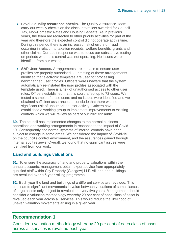- **Level 2 quality assurance checks.** The Quality Assurance Team carry out weekly checks on the discounts/reliefs awarded for Council Tax, Non-Domestic Rates and Housing Benefits. As in previous years, the team are redirected to other priority activities for part of the year and therefore the expected control did not operate at this time. During this period there is an increased risk of errors or fraud occurring in relation to taxation receipts, welfare benefits, grants and other claims. Our audit response was to focus our substantive testing on periods when this control was not operating. No issues were identified from our testing.
- **SAP User Access.** Arrangements are in place to ensure user profiles are properly authorised. Our testing of these arrangements identified that electronic templates are used for processing new/changed user profiles. Officers were unaware that the system automatically re-instated the user profiles associated with the template used. There is a risk of unauthorised access to other user roles. Officers established that this could affect up to 72 users. We tested a sample of these users and no issues were identified and we obtained sufficient assurances to conclude that there was no significant risk of unauthorised user activity. Officers have established a working group to implement improvements to existing controls which we will review as part of our 2021/22 audit.

<span id="page-17-1"></span>**60.** The council has implemented changes to the normal business operations and working arrangements in response to the impact of Covid-19. Consequently, the normal systems of internal controls have been subject to change in some areas. We considered the impact of Covid-19 on the council's control environment, and the assurances gained through internal audit reviews. Overall, we found that no significant issues were identified from our work.

# **Land and buildings valuations**

**61.** To ensure the accuracy of land and property valuations within the annual accounts, management obtain expert advice from appropriately qualified staff within City Property (Glasgow) LLP. All land and buildings are revalued over a 5-year rolling programme.

<span id="page-17-0"></span>**62.** Each year the land and buildings of a different service are revalued. This can lead to significant movements in value between valuations of some classes of large assets only subject to revaluation every five years. Management should consider a valuation methodology whereby 20 per cent of each class of asset is revalued each year across all services. This would reduce the likelihood of uneven valuation movements arising in a given year.

# **Recommendation 1**

Consider a valuation methodology whereby 20 per cent of each class of asset across all services is revalued each year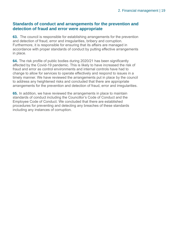### **Standards of conduct and arrangements for the prevention and detection of fraud and error were appropriate**

**63.** The council is responsible for establishing arrangements for the prevention and detection of fraud, error and irregularities, bribery and corruption. Furthermore, it is responsible for ensuring that its affairs are managed in accordance with proper standards of conduct by putting effective arrangements in place.

**64.** The risk profile of public bodies during 2020/21 has been significantly affected by the Covid-19 pandemic. This is likely to have increased the risk of fraud and error as control environments and internal controls have had to change to allow for services to operate effectively and respond to issues in a timely manner. We have reviewed the arrangements put in place by the council to address any heightened risks and concluded that there are appropriate arrangements for the prevention and detection of fraud, error and irregularities.

**65.** In addition, we have reviewed the arrangements in place to maintain standards of conduct including the Councillor's Code of Conduct and the Employee Code of Conduct. We concluded that there are established procedures for preventing and detecting any breaches of these standards including any instances of corruption.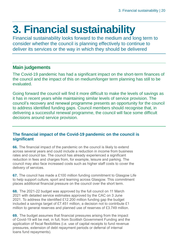# <span id="page-19-0"></span>**3. Financial sustainability**

Financial sustainability looks forward to the medium and long term to consider whether the council is planning effectively to continue to deliver its services or the way in which they should be delivered

# **Main judgements**

The Covid-19 pandemic has had a significant impact on the short-term finances of the council and the impact of this on medium/longer term planning has still to be evaluated.

Going forward the council will find it more difficult to make the levels of savings as it has in recent years while maintaining similar levels of service provision. The council's recovery and renewal programme presents an opportunity for the council to address identified funding gaps. Council members should recognise that, in delivering a successful renewal programme, the council will face some difficult decisions around service provision.

# **The financial impact of the Covid-19 pandemic on the council is significant**

<span id="page-19-1"></span>**66.** The financial impact of the pandemic on the council is likely to extend across several years and could include a reduction in income from business rates and council tax. The council has already experienced a significant reduction in fees and charges from, for example, leisure and parking. The council may also face increased costs such as higher staff costs to cover the delivery of services.

**67.** The council has made a £100 million funding commitment to Glasgow Life to help support culture, sport and learning across Glasgow. This commitment places additional financial pressure on the council over the short term.

**68.** The 2021-22 budget was approved by the full council on 11 March 2021 with detailed service estimates approved by the CAC on 3 June 2021. To address the identified £12.200 million funding gap the budget included a savings target of £7.451 million, a decision not to contribute £1 million to general reserves and planned use of reserves of £3.749 million.

**69.** The budget assumes that financial pressures arising from the impact of Covid-19 will be met, in full, from Scottish Government Funding and the application of fiscal flexibilities (i.e. use of capital receipts to fund revenue pressures, extension of debt repayment periods or deferral of internal loans fund repayments).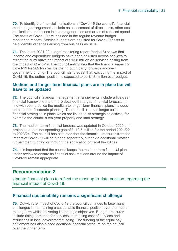**70.** To identify the financial implications of Covid-19 the council's financial monitoring arrangements include as assessment of direct costs, other cost implications, reductions in income generation and areas of reduced spend. The costs of Covid-19 are included in the regular revenue budget monitoring reports. Service budgets are adjusted for Covid-19 costs to help identify variances arising from business as usual.

**71.** The latest 2021-22 budget monitoring report (period 8) shows that income and expenditure budgets have been adjusted across services to reflect the cumulative net impact of £13.8 million on services arising from the impact of Covid-19. The council anticipates that the financial impact of Covid-19 for 2021-22 will be met through carry forwards and new government funding. The council has forecast that, excluding the impact of Covid-19, the outturn position is expected to be £1.8 million over budget.

### **Medium and longer-term financial plans are in place but will have to be updated**

**72.** The council's financial management arrangements include a five-year financial framework and a more detailed three-year financial forecast. In line with best practice the medium to longer-term financial plans includes an element of scenario planning. The council also has longer term financial strategies in place which are linked to its strategic objectives, for example the council's ten-year property and land strategy.

**73.** The medium-term financial forecast was updated in October 2020 and projected a total net spending gap of £112.5 million for the period 2021/22 to 2023/24. The council has assumed that the financial pressures from the impact of Covid-19 will be funded separately, either via additional Scottish Government funding or through the application of fiscal flexibilities.

<span id="page-20-0"></span>**74.** It is important that the council keeps the medium-term financial plan under review to ensure its financial assumptions around the impact of Covid-19 remain appropriate.

# **Recommendation 2**

Update financial plans to reflect the most up-to-date position regarding the financial impact of Covid-19.

# **Financial sustainability remains a significant challenge**

**75.** Outwith the impact of Covid-19 the council continues to face many challenges in maintaining a sustainable financial position over the medium to long term whilst delivering its strategic objectives. Budget pressures include rising demands for services, increasing cost of services and reductions in local government funding. The funding of the equal pay settlement has also placed additional financial pressure on the council over the longer term.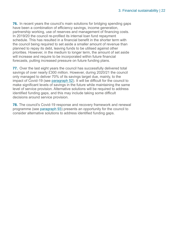**76.** In recent years the council's main solutions for bridging spending gaps have been a combination of efficiency savings, income generation, partnership working, use of reserves and management of financing costs. In 2019/20 the council re-profiled its internal loan fund repayment schedule. This has resulted in a financial benefit in the shorter term with the council being required to set aside a smaller amount of revenue than planned to repay its debt, leaving funds to be utilised against other priorities. However, in the medium to longer term, the amount of set aside will increase and require to be incorporated within future financial forecasts, putting increased pressure on future funding plans.

**77.** Over the last eight years the council has successfully delivered total savings of over nearly £300 million. However, during 2020/21 the council only managed to deliver 70% of its savings target due, mainly, to the impact of Covid-19 (see [paragraph](#page-15-1) 52). It will be difficult for the council to make significant levels of savings in the future while maintaining the same level of service provision. Alternative solutions will be required to address identified funding gaps, and this may include taking some difficult decisions around service provision.

**78.** The council's Covid-19 response and recovery framework and renewal programme (see [paragraph](#page-25-0) 93) presents an opportunity for the council to consider alternative solutions to address identified funding gaps.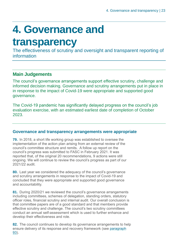# <span id="page-22-0"></span>**4. Governance and**

# **transparency**

The effectiveness of scrutiny and oversight and transparent reporting of information

# **Main Judgements**

The council's governance arrangements support effective scrutiny, challenge and informed decision making. Governance and scrutiny arrangements put in place in in response to the impact of Covid-19 were appropriate and supported good governance.

The Covid-19 pandemic has significantly delayed progress on the council's job evaluation exercise, with an estimated earliest date of completion of October 2023.

# **Governance and transparency arrangements were appropriate**

**79.** In 2018, a short life working group was established to oversee the implementation of the action plan arising from an external review of the council's committee structure and remits. A follow up report on the council's progress was submitted to FASC in February 2021. It was reported that, of the original 20 recommendations, 9 actions were still ongoing. We will continue to review the council's progress as part of our 2021/22 audit.

**80.** Last year we considered the adequacy of the council's governance and scrutiny arrangements in response to the impact of Covid-19 and concluded that they were appropriate and supported good governance and accountability.

**81.** During 2020/21 we reviewed the council's governance arrangements including committees, schemes of delegation, standing orders, statutory officer roles, financial scrutiny and internal audit. Our overall conclusion is that committee papers are of a good standard and that members provide effective scrutiny and challenge. The council's two scrutiny committees conduct an annual self-assessment which is used to further enhance and develop their effectiveness and role.

**82.** The council continues to develop its governance arrangements to help ensure delivery of its response and recovery framework (see [paragraph](#page-25-0) [93\)](#page-25-0).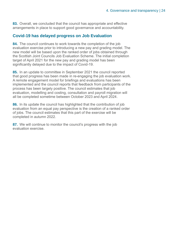**83.** Overall, we concluded that the council has appropriate and effective arrangements in place to support good governance and accountability.

### **Covid-19 has delayed progress on Job Evaluation**

**84.** The council continues to work towards the completion of the job evaluation exercise prior to introducing a new pay and grading model. The new model will be based upon the ranked order of jobs obtained through the Scottish Joint Councils Job Evaluation Scheme. The initial completion target of April 2021 for the new pay and grading model has been significantly delayed due to the impact of Covid-19.

**85.** In an update to committee in September 2021 the council reported that good progress has been made in re-engaging the job evaluation work. A remote engagement model for briefings and evaluations has been implemented and the council reports that feedback from participants of the process has been largely positive. The council estimates that job evaluation, modelling and costing, consultation and payroll migration will all be completed sometime between October 2023 and April 2024.

**86.** In its update the council has highlighted that the contribution of job evaluation from an equal pay perspective is the creation of a ranked order of jobs. The council estimates that this part of the exercise will be completed in autumn 2022.

**87.** We will continue to monitor the council's progress with the job evaluation exercise.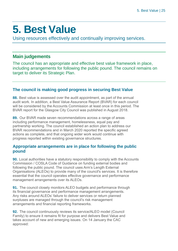# <span id="page-24-0"></span>**5. Best Value**

Using resources effectively and continually improving services.

# **Main judgements**

The council has an appropriate and effective best value framework in place, including arrangements for following the public pound. The council remains on target to deliver its Strategic Plan.

# **The council is making good progress in securing Best Value**

**88.** Best value is assessed over the audit appointment, as part of the annual audit work. In addition, a Best Value Assurance Report (BVAR) for each council will be considered by the Accounts Commission at least once in this period. The BVAR report for the Glasgow City Council was published in August 2018.

**89.** Our BVAR made seven recommendations across a range of areas including performance management, homelessness, equal pay and partnership working. The council established an action plan to address our BVAR recommendations and in March 2020 reported the specific agreed actions as complete, and that ongoing wider work would continue with progress reported within existing governance structures.

# **Appropriate arrangements are in place for following the public pound**

**90.** Local authorities have a statutory responsibility to comply with the Accounts Commission / COSLA Code of Guidance on funding external bodies and following the public pound. The council uses Arm's Length External Organisations (ALEOs) to provide many of the council's services. It is therefore essential that the council operates effective governance and performance management arrangements over its ALEOs.

**91.** The council closely monitors ALEO budgets and performance through its financial governance and performance management arrangements. Any risks around ALEOs' failure to deliver services or return planned surpluses are managed through the council's risk management arrangements and financial reporting frameworks.

**92.** The council continuously reviews its service/ALEO model (Council Family) to ensure it remains fit for purpose and delivers Best Value and takes account of new and emerging issues. On 14 January the CAC approved: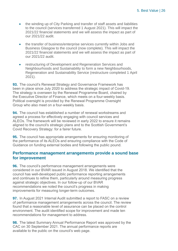- the winding up of City Parking and transfer of staff assets and liabilities to the council (services transferred 1 August 2021). This will impact the 2021/22 financial statements and we will assess the impact as part of our 2021/22 audit.
- the transfer of business/enterprise services currently within Jobs and Business Glasgow to the council (now complete). This will impact the 2021/22 financial statements and we will assess the impact as part of our 2021/22 audit.
- restructuring of Development and Regeneration Services and Neighbourhoods and Sustainability to form a new Neighbourhoods, Regeneration and Sustainability Service (restructure completed 1 April 2021).

<span id="page-25-0"></span>**93.** The council's Renewal Strategy and Governance Framework has been in place since July 2020 to address the strategic impact of Covid-19. The strategy is overseen by the Renewal Programme Board, chaired by the Executive Director of Finance, which meets on a four-weekly basis. Political oversight is provided by the Renewal Programme Oversight Group who also meet on a four-weekly basis.

**94.** The council has established a number of renewal workstreams and agreed a process for effectively engaging with council services and ALEOs. The framework will be reviewed in early 2022 to ensure it remains aligned to the council's strategic plans and to the Scottish Government's Covid Recovery Strategy: for a fairer future.

**95.** The council has appropriate arrangements for ensuring monitoring of the performance of its ALEOs and ensuring compliance with the Code of Guidance on funding external bodies and following the public pound.

### **Performance management arrangements provide a sound base for improvement**

**96.** The council's performance management arrangements were considered in our BVAR issued in August 2018. We identified that the council has well-developed public performance reporting arrangements and continues to refine them, particularly around measuring progress against strategic objectives. In our follow-up of our BVAR recommendations we noted the council's progress in making improvements for measuring longer-term outcomes.

**97.** In August 2021 Internal Audit submitted a report to FASC on a review of performance management arrangements across the council. The review found that a reasonable level of assurance can be placed on the control environment. The audit identified scope for improvement and made ten recommendations for management to address.

**98.** The latest Summary Annual Performance Report was approved by the CAC on 30 September 2021. The annual performance reports are available to the public on the council's web page.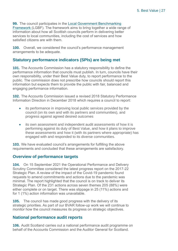**99.** The council participates in the Local Government Benchmarking [Framework](http://www.improvementservice.org.uk/local-government-benchmarking-framework.html) (LGBF). The framework aims to bring together a wide range of information about how all Scottish councils perform in delivering better services to local communities, including the cost of services and how satisfied citizens are with them.

**100.** Overall, we considered the council's performance management arrangements to be adequate.

# **Statutory performance indicators (SPIs) are being met**

**101.** The Accounts Commission has a statutory responsibility to define the performance information that councils must publish. In turn, councils have their own responsibility, under their Best Value duty, to report performance to the public. The commission does not prescribe how councils should report this information but expects them to provide the public with fair, balanced and engaging performance information.

**102.** The Accounts Commission issued a revised 2018 Statutory Performance Information Direction in December 2018 which requires a council to report:

- its performance in improving local public services provided by the council (on its own and with its partners and communities), and progress against agreed desired outcomes
- its own assessment and independent audit assessments of how it is performing against its duty of Best Value, and how it plans to improve these assessments and how it (with its partners where appropriate) has engaged with and responded to its diverse communities.

**103.** We have evaluated council's arrangements for fulfilling the above requirements and concluded that these arrangements are satisfactory.

# **Overview of performance targets**

**104.** On 15 September 2021 the Operational Performance and Delivery Scrutiny Committee considered the latest progress report on the 2017-22 Strategic Plan. A review of the impact of the Covid-19 pandemic found requests to amend commitments and actions due to the pandemic was minimal. The report highlighted that the council is on track to deliver its Strategic Plan. Of the 231 actions across seven themes 205 (88%) were either complete or on target. There was slippage in 25 (11%) actions and for 1 (1%) action information was unavailable.

**105.** The council has made good progress with the delivery of its strategic priorities. As part of our BVAR follow-up work we will continue to monitor how the council measures its progress on strategic objectives.

# **National performance audit reports**

**106.** Audit Scotland carries out a national performance audit programme on behalf of the Accounts Commission and the Auditor General for Scotland.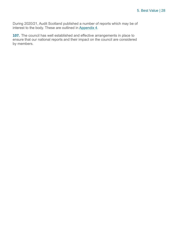During 2020/21, Audit Scotland published a number of reports which may be of interest to the body. These are outlined in [Appendix](#page-38-0) 4.

**107.** The council has well established and effective arrangements in place to ensure that our national reports and their impact on the council are considered by members.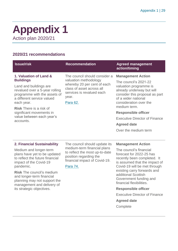# <span id="page-28-0"></span>**Appendix 1** Action plan 2020/21

# **2020/21 recommendations**

| <b>Issue/risk</b>                                                                                                                                                                                                                                                                                                           | <b>Recommendation</b>                                                                                                                                                        | <b>Agreed management</b><br>action/timing                                                                                                                                                                                                                                                                                                                                                           |
|-----------------------------------------------------------------------------------------------------------------------------------------------------------------------------------------------------------------------------------------------------------------------------------------------------------------------------|------------------------------------------------------------------------------------------------------------------------------------------------------------------------------|-----------------------------------------------------------------------------------------------------------------------------------------------------------------------------------------------------------------------------------------------------------------------------------------------------------------------------------------------------------------------------------------------------|
| 1. Valuation of Land &<br><b>Buildings</b><br>Land and buildings are<br>revalued over a 5-year rolling<br>programme with the assets of<br>a different service valued<br>each year.<br><b>Risk There is a risk of</b><br>significant movements in<br>value between each year's<br>accounts.                                  | The council should consider a<br>valuation methodology<br>whereby 20 per cent of each<br>class of asset across all<br>services is revalued each<br>year.<br>Para 62.         | <b>Management Action</b><br>The council's 2021-22<br>valuation programme is<br>already underway but will<br>consider this proposal as part<br>of a wider national<br>consideration over the<br>medium term.<br><b>Responsible officer</b><br><b>Executive Director of Finance</b><br><b>Agreed date</b><br>Over the medium term                                                                     |
| 2. Financial Sustainability<br>Medium and longer-term<br>plans have yet to be updated<br>to reflect the future financial<br>impact of the Covid-19<br>pandemic.<br><b>Risk The council's medium</b><br>and longer-term financial<br>planning may not support the<br>management and delivery of<br>its strategic objectives. | The council should update its<br>medium-term financial plans<br>to reflect the most up-to-date<br>position regarding the<br>financial impact of Covid-19.<br><b>Para 74.</b> | <b>Management Action</b><br>The council's financial<br>forecast for 2022-25 has<br>recently been completed. It<br>is assumed that the impact of<br>Covid-19 will be met through<br>existing carry forwards and<br>additional Scottish<br>Government funding and<br>financial flexibilities.<br><b>Responsible officer</b><br><b>Executive Director of Finance</b><br><b>Agreed date</b><br>Complete |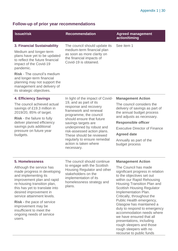# **Follow-up of prior year recommendations**

| <b>Issue/risk</b>                                                                                                                                                                                                                                                                                                                                                                             | <b>Recommendation</b>                                                                                                                                                                                                                                                                                                                                     | <b>Agreed management</b><br>action/timing                                                                                                                                                                                                                                                                                                                                                                                                              |
|-----------------------------------------------------------------------------------------------------------------------------------------------------------------------------------------------------------------------------------------------------------------------------------------------------------------------------------------------------------------------------------------------|-----------------------------------------------------------------------------------------------------------------------------------------------------------------------------------------------------------------------------------------------------------------------------------------------------------------------------------------------------------|--------------------------------------------------------------------------------------------------------------------------------------------------------------------------------------------------------------------------------------------------------------------------------------------------------------------------------------------------------------------------------------------------------------------------------------------------------|
| <b>3. Financial Sustainability</b><br>Medium and longer-term<br>plans have yet to be updated<br>to reflect the future financial<br>impact of the Covid-19<br>pandemic.<br>Risk - The council's medium<br>and longer-term financial<br>planning may not support the<br>management and delivery of<br>its strategic objectives.                                                                 | The council should update its<br>medium-term financial plan<br>as soon as more clarity on<br>the financial impacts of<br>Covid-19 is obtained.                                                                                                                                                                                                            | See item 1                                                                                                                                                                                                                                                                                                                                                                                                                                             |
| <b>4. Efficiency Savings</b><br>The council achieved actual<br>savings of £19.3 million in<br>2019/20, 85% of target.<br><b>Risk</b> - the failure to fully<br>deliver planned efficiency<br>savings puts additional<br>pressure on future year<br>budgets.                                                                                                                                   | In light of the impact of Covid-<br>19, and as part of its<br>response and recovery<br>framework and renewal<br>programme, the council<br>should ensure that future<br>savings targets are<br>underpinned by robust and<br>risk-assessed action plans.<br>These should be reviewed<br>regularly to ensure remedial<br>action is taken where<br>necessary. | <b>Management Action</b><br>The council considers the<br>delivery of savings as part of<br>the annual budget process<br>and adjusts as necessary.<br><b>Responsible officer</b><br><b>Executive Director of Finance</b><br><b>Agreed date</b><br>Annually as part of the<br>budget process                                                                                                                                                             |
| <b>5. Homelessness</b><br>Although the service has<br>made progress in developing<br>and implementing its<br>improvement plan and rapid<br>re-housing transition plan,<br>this has yet to translate into<br>desired improvement in<br>service attainment levels.<br><b>Risk - the pace of service</b><br>improvement may be<br>insufficient to meet the<br>ongoing needs of service<br>users. | The council should continue<br>to engage with the Scottish<br>Housing Regulator and other<br>stakeholders on the<br>implementation of its<br>homelessness strategy and<br>plans.                                                                                                                                                                          | <b>Management Action</b><br>The Council has made<br>significant progress in relation<br>to the objectives set out<br>within our Rapid Rehousing<br>Housing Transition Plan and<br><b>Scottish Housing Regulator</b><br>Implementation Plan.<br>Critically, throughout the<br>Public Health emergency,<br>Glasgow has maintained a<br>duty to respond to emergency<br>accommodation needs where<br>we have ensured that all<br>presentations, including |

rough sleepers with no recourse to public funds

rough sleepers and those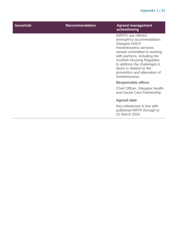# Appendix 1 | 31

| <b>Issue/risk</b> | <b>Recommendation</b> | <b>Agreed management</b><br>action/timing                                                                                                                                                                                                                                                                  |
|-------------------|-----------------------|------------------------------------------------------------------------------------------------------------------------------------------------------------------------------------------------------------------------------------------------------------------------------------------------------------|
|                   |                       | (NRPF) are offered<br>emergency accommodation.<br><b>Glasgow HSCP</b><br>Homelessness services<br>remain committed to working<br>with partners, including the<br>Scottish Housing Regulator,<br>to address the challenges it<br>faces in relation to the<br>prevention and alleviation of<br>homelessness. |
|                   |                       | <b>Responsible officer</b>                                                                                                                                                                                                                                                                                 |
|                   |                       | Chief Officer, Glasgow Health<br>and Social Care Partnership                                                                                                                                                                                                                                               |
|                   |                       | <b>Agreed date</b>                                                                                                                                                                                                                                                                                         |
|                   |                       | Key milestones in line with<br>published RRTP through to<br>31 March 2024                                                                                                                                                                                                                                  |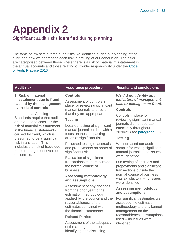# <span id="page-31-0"></span>**Appendix 2**

Significant audit risks identified during planning

The table below sets out the audit risks we identified during our planning of the audit and how we addressed each risk in arriving at our conclusion. The risks are categorised between those where there is a risk of material misstatement in the annual accounts and those relating our wider responsibility under the [Code](http://www.audit-scotland.gov.uk/report/code-of-audit-practice-2016)  [of Audit Practice 2016.](http://www.audit-scotland.gov.uk/report/code-of-audit-practice-2016)

#### **1. Risk of material misstatement due to fraud caused by the management override of controls**

International Auditing Standards require that audits are planned to consider the risk of material misstatement in the financial statements caused by fraud, which is presumed to be a significant risk in any audit. This includes the risk of fraud due to the management override of controls.

#### **Controls**

Assessment of controls in place for reviewing significant manual journals to ensure that they are appropriate.

#### **Testing**

Detailed testing of significant manual journal entries, with a focus on those impacting areas of significant risk.

Focussed testing of accruals and prepayments on areas of significant risk.

Evaluation of significant transactions that are outside the normal course of business.

#### **Assessing methodology and assumptions**

Assessment of any changes from the prior year to the estimation methodology applied by the council and the reasonableness of the estimates contained within the financial statements.

#### **Related Parties**

Assessment of the adequacy of the arrangements for identifying and disclosing

#### **Audit risk Assurance procedure Results and conclusions**

#### *We did not identify any indicators of management bias or management fraud*.

#### **Controls**

Controls in place for reviewing significant manual journals did not operate effectively throughout 2020/21 (see [paragraph](#page-16-0) 59).

#### **Testing**

We increased our audit sample for testing significant manual journals – no issues were identified.

Our testing of accruals and prepayments and significant transactions outside the normal course of business was satisfactory – no issues were identified.

#### **Assessing methodology and assumptions**

For significant estimates we assessed the estimation methodology and challenged management on the reasonableness assumptions used – no issues were identified.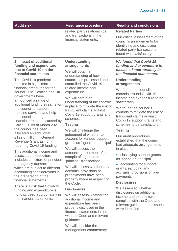related party relationships and transactions in the financial statements.

#### **Audit risk Assurance procedure Results and conclusions**

#### **Related Parties**

Our critical assessment of the council's arrangements for identifying and disclosing related party transactions found was satisfactory.

#### **2. Impact of additional funding and expenditure due to Covid-19 on the financial statements**

The Covid-19 pandemic has resulted in significant financial pressures for the council. The Scottish and UK governments have announced a range of additional funding streams for the council to support frontline services and help the council manage the financial pressures caused by Covid-19. As at March 2021 the council has been allocated an additional £192.6 million in General Revenue Grant as nonrecurring Covid-19 funding.

This additional income and associated expenditure includes a mixture of principal and agency transactions which are subject to different accounting considerations in the preparation of the financial statements.

There is a risk that Covid-19 funding and expenditure is not disclosed appropriately in the financial statements.

#### **Understanding arrangements**

We will obtain an understanding of how the council has processed and controlled the Covid-19 related income and expenditure.

We will obtain an understanding of the controls in place to mitigate the risk of fraudulent claims against Covid-19 support grants and schemes.

#### **Testing**

We will challenge the judgement of whether to account for various support grants as 'agent' or 'principal'.

We will assess the accounting treatment of a sample of 'agent' and 'principal' transactions.

We will assess whether any accruals, provisions or prepayments have been properly made in respect of the Code.

#### **Disclosures**

We will assess whether the additional income and expenditure has been properly disclosed in the financial statements in line with the Code and relevant guidance.

We will consider the management commentary

#### *We found that Covid-19 funding and expenditure is disclosed appropriately in the financial statements.*

#### **Understanding arrangements**

We found the council's controls around Covid-19 income and expenditure to be satisfactory.

We found the council's controls to mitigate the risk of fraudulent claims against Covid-19 support grants and schemes to be satisfactory.

#### **Testing**

Our audit procedures established that the council had adequate arrangements in place for

- classifying support grants as 'agent' or 'principal'
- accounting for support grants, including any accruals, provisions or prepayments.

#### **Disclosures**

We assessed whether disclosures on additional income and expenditure complied with the Code and relevant guidance – no issues were identified.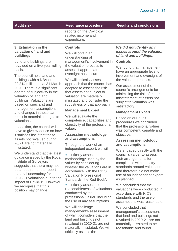reports on the Covid-19 related income and expenditure.

#### **3. Estimation in the valuation of land and buildings**

Land and buildings are revalued on a five-year rolling basis.

The council held land and buildings with a NBV of £2,314 million as at 31 March 2020. There is a significant degree of subjectivity in the valuation of land and buildings. Valuations are based on specialist and management assumptions and changes in these can result in material changes to valuations.

In addition, the council will have to give evidence on how it satisfies itself that those assets not revalued during 20/21 are not materially misstated.

We understand that the latest guidance issued by the Royal Institute of Surveyors suggests that there may not be a requirement to report material uncertainty for 2020/21 valuations due to the impact of Covid-19. However, we recognise that this position may change

#### **Controls**

We will obtain an understanding of management's involvement in the valuation process to assess if appropriate oversight has occurred.

We will critically assess the approach that the council has adopted to assess the risk that assets not subject to valuation are materially misstated and consider the robustness of that approach.

#### **Management Expert**

We will evaluate the competence, capabilities and objectivity of the professional valuer.

#### **Assessing methodology and assumptions**

Through the work of an independent expert, we will:

- critically assess the methodology used by the valuer by considering whether the valuations are in accordance with the RICS Valuation Professional Standards 'the Red Book'.
- critically assess the reasonableness of valuations conducted by the professional valuer, including the use of any assumptions.

We will challenge management's assessment of why it considers that the land and buildings not revalued in 2020-21 are not materially misstated. We will critically assess the

*We did not identify any issues around the valuation of land and buildings*.

#### **Controls**

We found that management have an appropriate level of involvement and oversight of the valuation process.

Our assessment of the council's arrangements for minimising the risk of material misstatement of assets not subject to valuation was satisfactory.

#### **Management Expert**

Based on our audit procedures we concluded that the professional valuer was competent, capable and objective.

#### **Assessing methodology and assumptions**

We engaged directly with the council's valuer to assess their arrangements for compliance with industry standards around valuations and therefore did not make use of an independent expert as planned.

We concluded that the valuations were conducted in accordance with RICS standards and the use of assumptions was reasonable.

We concluded that management's assessment that land and buildings not revalued in 2020-21 are not materially misstated to be reasonable and found

**Audit risk Assurance procedure Results and conclusions**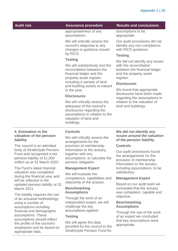appropriateness of any assumptions.

We will critically assess the council's response to any changes in guidance issued by RICS.

#### **Testing**

We will substantively test the reconciliation between the financial ledger and the property asset register, including a sample of land and building assets re-valued in the year.

#### **Disclosures**

We will critically assess the adequacy of the council's disclosures regarding the assumptions in relation to the valuation of land and buildings.

#### **Audit risk Assurance procedure Results and conclusions**

assumptions to be appropriate.

Our audit procedures did not identify any non-compliance with RICS guidance.

#### **Testing**

We did not identify any issues with the reconciliation between the financial ledger and the property asset register.

#### **Disclosures**

We found that appropriate disclosures have been made regarding the assumptions in relation to the valuation of land and buildings.

#### **4. Estimation in the valuation of the pension liability**

The council is an admitted body of Strathclyde Pension Fund and recognised a net pension liability of £1,050 million as at 31 March 2020.

The Fund's latest triennial valuation was completed during the financial year and will be reflected in the updated pension liability at 31 March 2021.

The liability requires the use of an actuarial methodology using a number of assumptions including financial and demographic assumptions. These assumptions should reflect the profile of the council's employees and be based on appropriate data.

#### **Controls**

We will critically assess the arrangements for the provision of membership information to the actuary, together with any assumptions, to calculate the pension obligation.

#### **Management Expert**

We will evaluate the competence, capabilities and objectivity of the actuary.

#### **Benchmarking Assumptions**

Through the work of an independent expert, we will challenge the key assumptions applied.

#### **Testing**

We will agree the data provided by the council to the Strathclyde Pension Fund for

#### *We did not identify any issues around the valuation of the pension liability.*

#### **Controls**

Our audit procedures found the arrangements for the provision of membership information to the actuary, including assumptions, to be satisfactory.

#### **Management Expert**

Based on our audit work we concluded that the actuary was competent, capable and objective.

#### **Benchmarking Assumptions**

Through the use of the work of an expert we concluded that key assumptions were appropriate.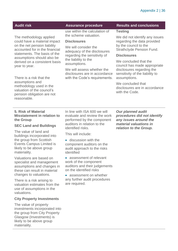The methodology applied could have a material impact on the net pension liability accounted for in the financial statements. The basis of the assumptions should also be derived on a consistent basis year to year.

There is a risk that the assumptions and methodology used in the valuation of the council's pension obligation are not reasonable.

use within the calculation of the scheme valuation.

#### **Disclosures**

We will consider the adequacy of the disclosures regarding the sensitivity of the liability to the assumptions.

We will assess whether the disclosures are in accordance with the Code's requirements.

#### **Audit risk Assurance procedure Results and conclusions**

#### **Testing**

We did not identify any issues regarding the data provided by the council to the Strathclyde Pension Fund.

#### **Disclosures**

We concluded that the council has made appropriate disclosures regarding the sensitivity of the liability to assumptions.

We concluded that disclosures are in accordance with the Code.

#### **5. Risk of Material Misstatement in relation to the Group**

#### **SEC Land and Buildings**

The value of land and buildings incorporated into the group from Scottish Events Campus Limited is likely to be above group materiality.

Valuations are based on specialist and management assumptions and changes in these can result in material changes to valuations.

There is a risk arising to valuation estimates from the use of assumptions in the valuations.

#### **City Property Investments**

The value of property investments incorporated into the group from City Property Glasgow (Investments) is likely to be above group materiality.

In line with ISA 600 we will evaluate and review the work performed by the component auditors in relation to the identified risks.

This will include:

- discussion with the component auditors on the audit approach to the risks identified
- assessment of relevant work of the component auditors and their judgements on the identified risks
- assessment on whether any further audit procedures are required.

*Our planned audit procedures did not identify any issues around the material valuations in relation to the Group.*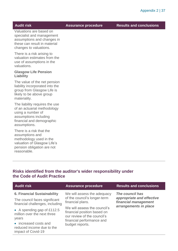**Audit risk Assurance procedure Results and conclusions**

Valuations are based on specialist and management assumptions and changes in these can result in material changes to valuations.

There is a risk arising to valuation estimates from the use of assumptions in the valuations.

#### **Glasgow Life Pension Liability**

The value of the net pension liability incorporated into the group from Glasgow Life is likely to be above group materiality.

The liability requires the use of an actuarial methodology using a number of assumptions including financial and demographic assumptions.

There is a risk that the assumptions and methodology used in the valuation of Glasgow Life's pension obligation are not reasonable.

# **Risks identified from the auditor's wider responsibility under the Code of Audit Practice**

| <b>Audit risk</b>                                                                                                                              | <b>Assurance procedure</b>                                                                                                                 | <b>Results and conclusions</b>                                       |
|------------------------------------------------------------------------------------------------------------------------------------------------|--------------------------------------------------------------------------------------------------------------------------------------------|----------------------------------------------------------------------|
| <b>6. Financial Sustainability</b><br>The council faces significant<br>financial challenges, including                                         | We will assess the adequacy<br>of the council's longer-term<br>financial plans.                                                            | The council has<br>appropriate and effective<br>financial management |
| • A spending gap of £112.5<br>million over the next three<br>years<br>• increased costs and<br>reduced income due to the<br>impact of Covid-19 | We will assess the council's<br>financial position based on<br>our review of the council's<br>financial performance and<br>budget reports. | arrangements in place                                                |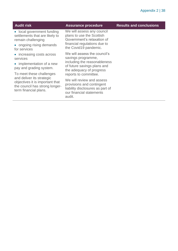| <b>Audit risk</b>                                                                                                              | <b>Assurance procedure</b>                                                                                                                     | <b>Results and conclusions</b> |
|--------------------------------------------------------------------------------------------------------------------------------|------------------------------------------------------------------------------------------------------------------------------------------------|--------------------------------|
| • local government funding<br>settlements that are likely to<br>remain challenging<br>• ongoing rising demands<br>for services | We will assess any council<br>plans to use the Scottish<br>Government's relaxation of<br>financial regulations due to<br>the Covid19 pandemic. |                                |
| • increasing costs across<br>services                                                                                          | We will assess the council's<br>savings programme,<br>including the reasonableness<br>of future savings plans and<br>the adequacy of progress  |                                |
| • implementation of a new<br>pay and grading system.                                                                           |                                                                                                                                                |                                |
| To meet these challenges                                                                                                       | reports to committee.                                                                                                                          |                                |
| and deliver its strategic<br>objectives it is important that<br>the council has strong longer-<br>term financial plans.        | We will review and assess<br>provisions and contingent<br>liability disclosures as part of<br>our financial statements<br>audit.               |                                |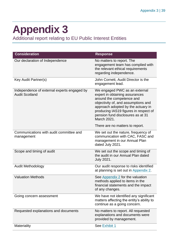# <span id="page-38-0"></span>**Appendix 3**

Additional report relating to EU Public Interest Entities

| <b>Consideration</b>                                                 | <b>Response</b>                                                                                                                                                                                                                                                        |
|----------------------------------------------------------------------|------------------------------------------------------------------------------------------------------------------------------------------------------------------------------------------------------------------------------------------------------------------------|
| Our declaration of Independence                                      | No matters to report. The<br>engagement team has complied with<br>the relevant ethical requirements<br>regarding independence.                                                                                                                                         |
| Key Audit Partner(s)                                                 | John Cornett, Audit Director is the<br>engagement lead.                                                                                                                                                                                                                |
| Independence of external experts engaged by<br><b>Audit Scotland</b> | We engaged PWC as an external<br>expert in obtaining assurances<br>around the competence and<br>objectivity of, and assumptions and<br>approach adopted by the actuary in<br>producing IAS19 figures in respect of<br>pension fund disclosures as at 31<br>March 2021. |
|                                                                      | There are no matters to report.                                                                                                                                                                                                                                        |
| Communications with audit committee and<br>management                | We set out the nature, frequency of<br>communication with CAC, FASC and<br>management in our Annual Plan<br>dated July 2021.                                                                                                                                           |
| Scope and timing of audit                                            | We set out the scope and timing of<br>the audit in our Annual Plan dated<br>July 2021.                                                                                                                                                                                 |
| <b>Audit Methodology</b>                                             | Our audit response to risks identified<br>at planning is set out in Appendix 2.                                                                                                                                                                                        |
| <b>Valuation Methods</b>                                             | See Appendix 2 for the valuation<br>methods applied to items in the<br>financial statements and the impact<br>of any changes.                                                                                                                                          |
| Going concern assessment                                             | We have not identified any significant<br>matters affecting the entity's ability to<br>continue as a going concern.                                                                                                                                                    |
| Requested explanations and documents                                 | No matters to report. All requested<br>explanations and documents were<br>provided by management.                                                                                                                                                                      |
| <b>Materiality</b>                                                   | See Exhibit 1                                                                                                                                                                                                                                                          |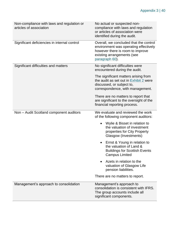| Non-compliance with laws and regulation or<br>articles of association | No actual or suspected non-<br>compliance with laws and regulation<br>or articles of association were<br>identified during the audit.                               |
|-----------------------------------------------------------------------|---------------------------------------------------------------------------------------------------------------------------------------------------------------------|
| Significant deficiencies in internal control                          | Overall, we concluded that the control<br>environment was operating effectively<br>however there is room to improve<br>existing arrangements (see<br>paragraph 60). |
| Significant difficulties and matters                                  | No significant difficulties were<br>encountered during the audit.                                                                                                   |
|                                                                       | The significant matters arising from<br>the audit as set out in Exhibit 2 were<br>discussed, or subject to,<br>correspondence, with management.                     |
|                                                                       | There are no matters to report that<br>are significant to the oversight of the<br>financial reporting process.                                                      |
| Non - Audit Scotland component auditors                               | We evaluate and reviewed the work<br>of the following component auditors:                                                                                           |
|                                                                       | Wylie & Bisset in relation to<br>the valuation of investment<br>properties for City Property<br>Glasgow (Investments)                                               |
|                                                                       | Ernst & Young in relation to<br>the valuation of Land &<br><b>Buildings for Scottish Events</b><br><b>Campus Limited</b>                                            |
|                                                                       | Azets in relation to the<br>valuation of Glasgow Life<br>pension liabilities.                                                                                       |
|                                                                       | There are no matters to report.                                                                                                                                     |
| Management's approach to consolidation                                | Management's approach to<br>consolidation is consistent with IFRS.<br>The group accounts include all<br>significant components.                                     |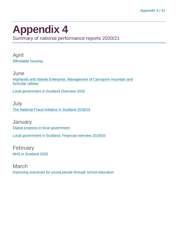# <span id="page-40-0"></span>**Appendix 4**

Summary of national performance reports 2020/21

April [Affordable housing](https://www.audit-scotland.gov.uk/report/affordable-housing)

**June** [Highlands and Islands Enterprise: Management of Cairngorm mountain and](https://www.audit-scotland.gov.uk/report/highlands-and-islands-enterprise-management-of-cairngorm-mountain-and-funicular-railway)  [funicular railway](https://www.audit-scotland.gov.uk/report/highlands-and-islands-enterprise-management-of-cairngorm-mountain-and-funicular-railway)

[Local government in Scotland Overview 2020](https://www.audit-scotland.gov.uk/report/local-government-in-scotland-overview-2020)

July [The National Fraud Initiative in Scotland 2018/19](https://www.audit-scotland.gov.uk/report/the-national-fraud-initiative-in-scotland-201819)

**January** [Digital progress in local government](https://www.audit-scotland.gov.uk/report/digital-progress-in-local-government) [Local government in Scotland: Financial overview 2019/20](https://www.audit-scotland.gov.uk/report/local-government-in-scotland-financial-overview-201920)

February [NHS in Scotland 2020](https://www.audit-scotland.gov.uk/report/nhs-in-scotland-2020)

March [Improving outcomes for young people through school education](https://www.audit-scotland.gov.uk/report/improving-outcomes-for-young-people-through-school-education)